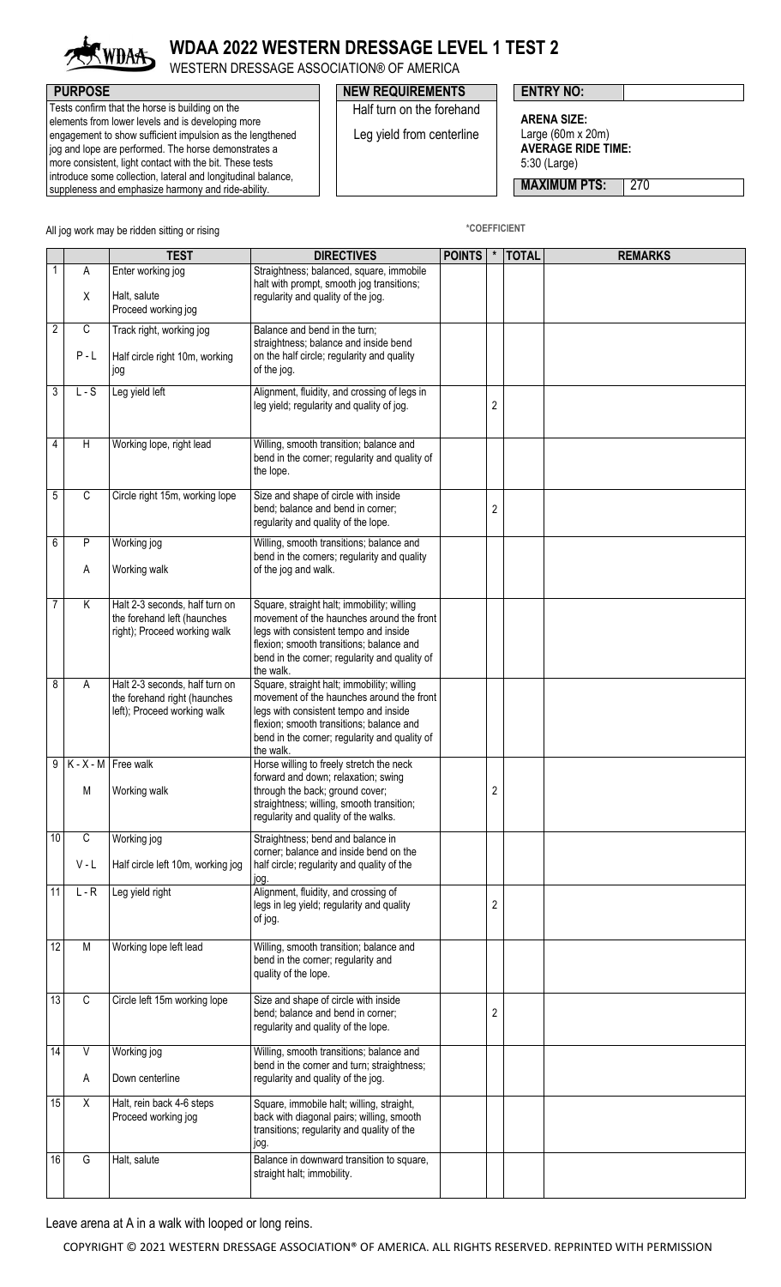

## **WDAA 2022 WESTERN DRESSAGE LEVEL 1 TEST 2**

WESTERN DRESSAGE ASSOCIATION® OF AMERICA

Tests confirm that the horse is building on the elements from lower levels and is developing more engagement to show sufficient impulsion as the lengthened jog and lope are performed. The horse demonstrates a more consistent, light contact with the bit. These tests introduce some collection, lateral and longitudinal balance, suppleness and emphasize harmony and ride-ability.

## **PURPOSE PURPOSE NEW REQUIREMENTS ENTRY NO:**

Half turn on the forehand Leg yield from centerline

**ARENA SIZE:** Large (60m x 20m)

**AVERAGE RIDE TIME:** 5:30 (Large)

**MAXIMUM PTS: 270** 

All jog work may be ridden sitting or rising<br> **All jog work may be ridden sitting or rising** 

|                      | <b>TEST</b>                                                                                   | <b>DIRECTIVES</b>                                                                                                                                                                                                                          | <b>POINTS</b> | $\star$        | <b>TOTAL</b> | <b>REMARKS</b> |
|----------------------|-----------------------------------------------------------------------------------------------|--------------------------------------------------------------------------------------------------------------------------------------------------------------------------------------------------------------------------------------------|---------------|----------------|--------------|----------------|
| 1<br>Α               | Enter working jog                                                                             | Straightness; balanced, square, immobile<br>halt with prompt, smooth jog transitions;                                                                                                                                                      |               |                |              |                |
| X                    | Halt, salute<br>Proceed working jog                                                           | regularity and quality of the jog.                                                                                                                                                                                                         |               |                |              |                |
| 2<br>C               | Track right, working jog                                                                      | Balance and bend in the turn;<br>straightness; balance and inside bend                                                                                                                                                                     |               |                |              |                |
| $P - L$              | Half circle right 10m, working<br>jog                                                         | on the half circle; regularity and quality<br>of the jog.                                                                                                                                                                                  |               |                |              |                |
| 3<br>$L-S$           | Leg yield left                                                                                | Alignment, fluidity, and crossing of legs in<br>leg yield; regularity and quality of jog.                                                                                                                                                  |               | $\overline{2}$ |              |                |
| 4<br>H               | Working lope, right lead                                                                      | Willing, smooth transition; balance and<br>bend in the corner; regularity and quality of<br>the lope.                                                                                                                                      |               |                |              |                |
| 5<br>C               | Circle right 15m, working lope                                                                | Size and shape of circle with inside<br>bend; balance and bend in corner;<br>regularity and quality of the lope.                                                                                                                           |               | $\overline{c}$ |              |                |
| 6<br>P<br>Α          | Working jog<br>Working walk                                                                   | Willing, smooth transitions; balance and<br>bend in the corners; regularity and quality<br>of the jog and walk.                                                                                                                            |               |                |              |                |
| 7<br>Κ               | Halt 2-3 seconds, half turn on<br>the forehand left (haunches<br>right); Proceed working walk | Square, straight halt; immobility; willing<br>movement of the haunches around the front<br>legs with consistent tempo and inside<br>flexion; smooth transitions; balance and<br>bend in the corner; regularity and quality of<br>the walk. |               |                |              |                |
| 8<br>A               | Halt 2-3 seconds, half turn on<br>the forehand right (haunches<br>left); Proceed working walk | Square, straight halt; immobility; willing<br>movement of the haunches around the front<br>legs with consistent tempo and inside<br>flexion; smooth transitions; balance and<br>bend in the corner; regularity and quality of<br>the walk. |               |                |              |                |
| 9<br>М               | $K - X - M$ Free walk<br>Working walk                                                         | Horse willing to freely stretch the neck<br>forward and down; relaxation; swing<br>through the back; ground cover;<br>straightness; willing, smooth transition;<br>regularity and quality of the walks.                                    |               | $\sqrt{2}$     |              |                |
| C<br>10<br>$V - L$   | Working jog<br>Half circle left 10m, working jog                                              | Straightness; bend and balance in<br>corner; balance and inside bend on the<br>half circle; regularity and quality of the<br>log.                                                                                                          |               |                |              |                |
| 11<br>$L - R$        | Leg yield right                                                                               | Alignment, fluidity, and crossing of<br>legs in leg yield; regularity and quality<br>of jog.                                                                                                                                               |               | $\overline{2}$ |              |                |
| 12<br>M              | Working lope left lead                                                                        | Willing, smooth transition; balance and<br>bend in the corner; regularity and<br>quality of the lope.                                                                                                                                      |               |                |              |                |
| 13<br>C              | Circle left 15m working lope                                                                  | Size and shape of circle with inside<br>bend; balance and bend in corner;<br>regularity and quality of the lope.                                                                                                                           |               | $\sqrt{2}$     |              |                |
| $\overline{14}$<br>V | Working jog                                                                                   | Willing, smooth transitions; balance and<br>bend in the corner and turn; straightness;                                                                                                                                                     |               |                |              |                |
| Α                    | Down centerline                                                                               | regularity and quality of the jog.                                                                                                                                                                                                         |               |                |              |                |
| 15<br>Χ              | Halt, rein back 4-6 steps<br>Proceed working jog                                              | Square, immobile halt; willing, straight,<br>back with diagonal pairs; willing, smooth<br>transitions; regularity and quality of the<br>jog.                                                                                               |               |                |              |                |
| G<br>16              | Halt, salute                                                                                  | Balance in downward transition to square,<br>straight halt; immobility.                                                                                                                                                                    |               |                |              |                |

Leave arena at A in a walk with looped or long reins.

COPYRIGHT © 2021 WESTERN DRESSAGE ASSOCIATION® OF AMERICA. ALL RIGHTS RESERVED. REPRINTED WITH PERMISSION